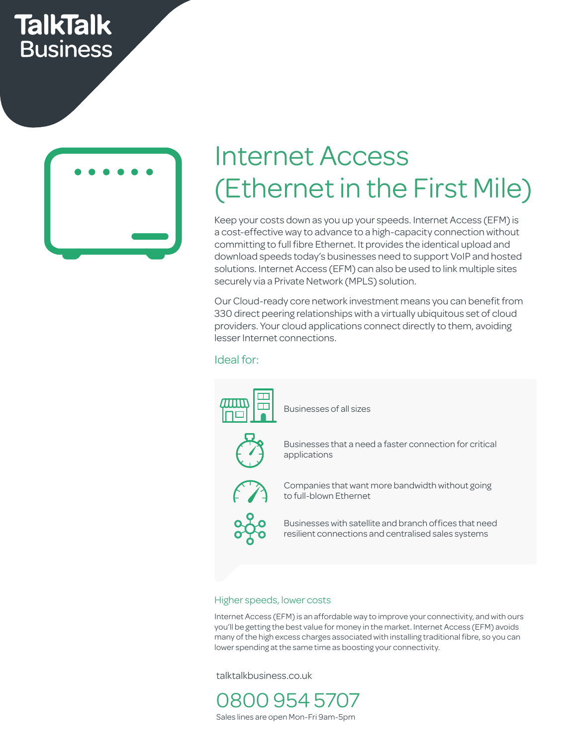## **TalkTalk Business**



# Internet Access (Ethernet in the First Mile)

Keep your costs down as you up your speeds. Internet Access (EFM) is a cost-effective way to advance to a high-capacity connection without committing to full fibre Ethernet. It provides the identical upload and download speeds today's businesses need to support VoIP and hosted solutions. Internet Access (EFM) can also be used to link multiple sites securely via a Private Network (MPLS) solution.  $\frac{3}{5}$ 

> Our Cloud-ready core network investment means you can benefit from 330 direct peering relationships with a virtually ubiquitous set of cloud SSO direct peemig relationships with a virtually dolquitous set of cloud<br>providers. Your cloud applications connect directly to them, avoiding<br>lesser Internet connections. lesser Internet connections.

Ideal for: Cost savings Call Centres East up to set up to set up to  $\alpha$ 



#### Higher speeds, lower costs

Internet Access (EFM) is an affordable way to improve your connectivity, and with ours you'll be getting the best value for money in the market. Internet Access (EFM) avoids many of the high excess charges associated with installing traditional fibre, so you can lower spending at the same time as boosting your connectivity.

talktalkbusiness.co.uk